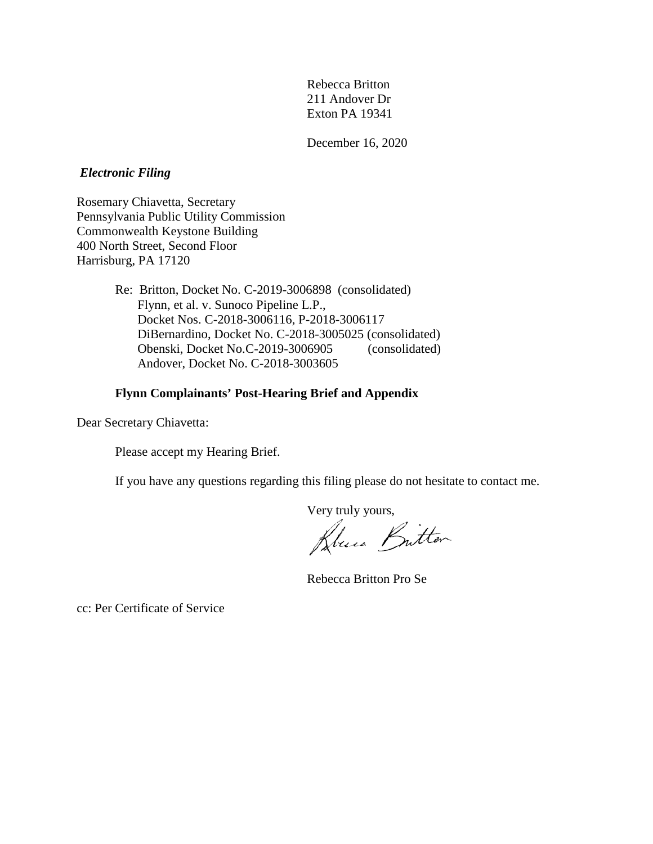Rebecca Britton 211 Andover Dr Exton PA 19341

December 16, 2020

## *Electronic Filing*

Rosemary Chiavetta, Secretary Pennsylvania Public Utility Commission Commonwealth Keystone Building 400 North Street, Second Floor Harrisburg, PA 17120

> Re: Britton, Docket No. C-2019-3006898 (consolidated) Flynn, et al. v. Sunoco Pipeline L.P., Docket Nos. C-2018-3006116, P-2018-3006117 DiBernardino, Docket No. C-2018-3005025 (consolidated) Obenski, Docket No.C-2019-3006905 (consolidated) Andover, Docket No. C-2018-3003605

## **Flynn Complainants' Post-Hearing Brief and Appendix**

Dear Secretary Chiavetta:

Please accept my Hearing Brief.

If you have any questions regarding this filing please do not hesitate to contact me.

Very truly yours,<br>Ricca Button

Rebecca Britton Pro Se

cc: Per Certificate of Service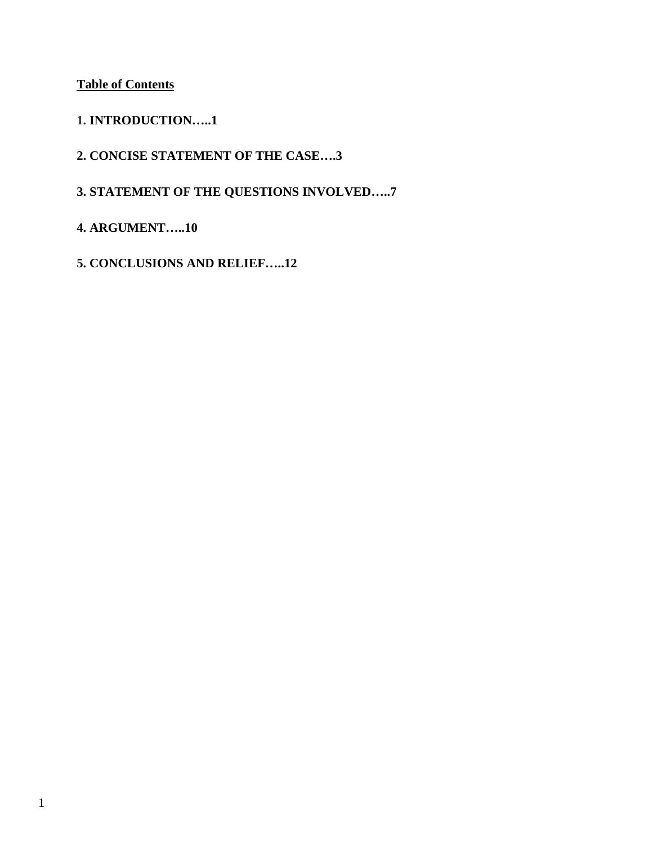**Table of Contents**

- **1. INTRODUCTION…..1**
- **2. CONCISE STATEMENT OF THE CASE….3**
- **3. STATEMENT OF THE QUESTIONS INVOLVED…..7**
- **4. ARGUMENT…..10**
- **5. CONCLUSIONS AND RELIEF…..12**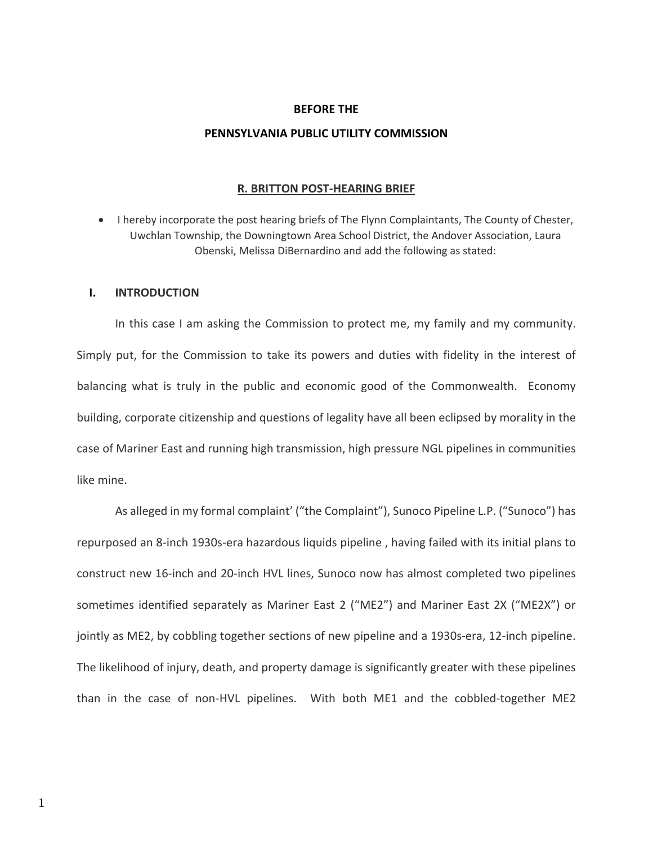#### **BEFORE THE**

#### **PENNSYLVANIA PUBLIC UTILITY COMMISSION**

#### **R. BRITTON POST-HEARING BRIEF**

• I hereby incorporate the post hearing briefs of The Flynn Complaintants, The County of Chester, Uwchlan Township, the Downingtown Area School District, the Andover Association, Laura Obenski, Melissa DiBernardino and add the following as stated:

## **I. INTRODUCTION**

In this case I am asking the Commission to protect me, my family and my community. Simply put, for the Commission to take its powers and duties with fidelity in the interest of balancing what is truly in the public and economic good of the Commonwealth. Economy building, corporate citizenship and questions of legality have all been eclipsed by morality in the case of Mariner East and running high transmission, high pressure NGL pipelines in communities like mine.

As alleged in my formal complaint' ("the Complaint"), Sunoco Pipeline L.P. ("Sunoco") has repurposed an 8-inch 1930s-era hazardous liquids pipeline , having failed with its initial plans to construct new 16-inch and 20-inch HVL lines, Sunoco now has almost completed two pipelines sometimes identified separately as Mariner East 2 ("ME2") and Mariner East 2X ("ME2X") or jointly as ME2, by cobbling together sections of new pipeline and a 1930s-era, 12-inch pipeline. The likelihood of injury, death, and property damage is significantly greater with these pipelines than in the case of non-HVL pipelines. With both ME1 and the cobbled-together ME2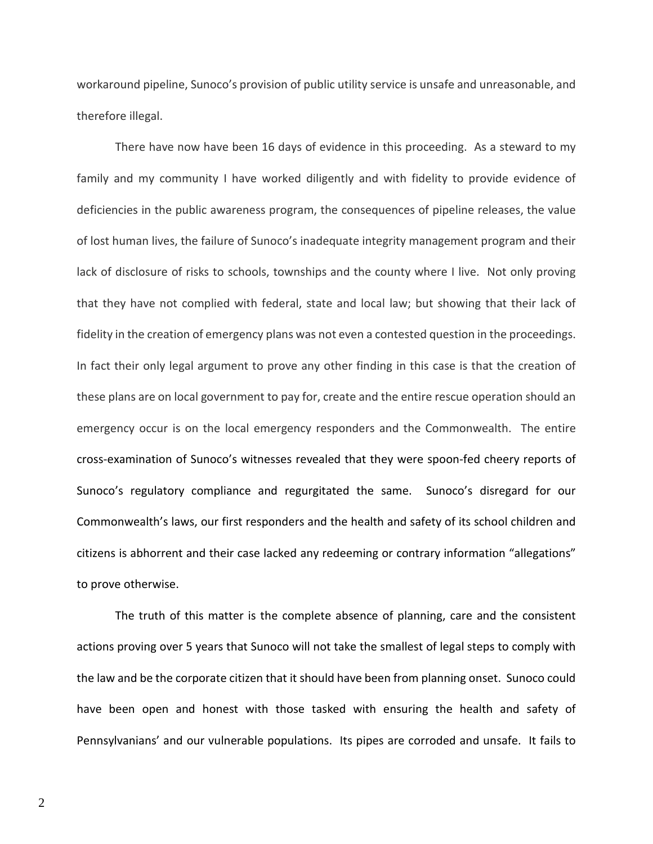workaround pipeline, Sunoco's provision of public utility service is unsafe and unreasonable, and therefore illegal.

There have now have been 16 days of evidence in this proceeding. As a steward to my family and my community I have worked diligently and with fidelity to provide evidence of deficiencies in the public awareness program, the consequences of pipeline releases, the value of lost human lives, the failure of Sunoco's inadequate integrity management program and their lack of disclosure of risks to schools, townships and the county where I live. Not only proving that they have not complied with federal, state and local law; but showing that their lack of fidelity in the creation of emergency plans was not even a contested question in the proceedings. In fact their only legal argument to prove any other finding in this case is that the creation of these plans are on local government to pay for, create and the entire rescue operation should an emergency occur is on the local emergency responders and the Commonwealth. The entire cross-examination of Sunoco's witnesses revealed that they were spoon-fed cheery reports of Sunoco's regulatory compliance and regurgitated the same. Sunoco's disregard for our Commonwealth's laws, our first responders and the health and safety of its school children and citizens is abhorrent and their case lacked any redeeming or contrary information "allegations" to prove otherwise.

The truth of this matter is the complete absence of planning, care and the consistent actions proving over 5 years that Sunoco will not take the smallest of legal steps to comply with the law and be the corporate citizen that it should have been from planning onset. Sunoco could have been open and honest with those tasked with ensuring the health and safety of Pennsylvanians' and our vulnerable populations. Its pipes are corroded and unsafe. It fails to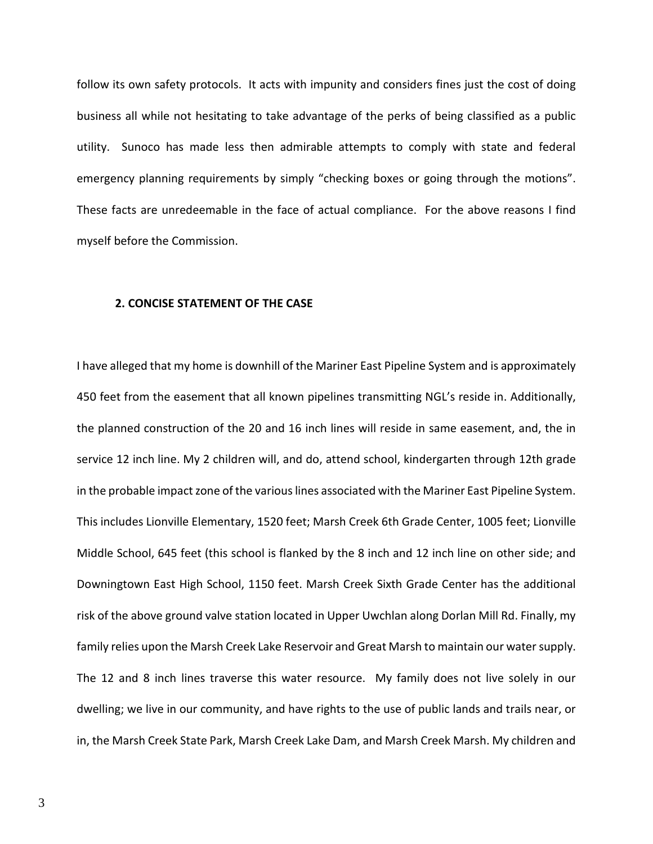follow its own safety protocols. It acts with impunity and considers fines just the cost of doing business all while not hesitating to take advantage of the perks of being classified as a public utility. Sunoco has made less then admirable attempts to comply with state and federal emergency planning requirements by simply "checking boxes or going through the motions". These facts are unredeemable in the face of actual compliance. For the above reasons I find myself before the Commission.

#### **2. CONCISE STATEMENT OF THE CASE**

I have alleged that my home is downhill of the Mariner East Pipeline System and is approximately 450 feet from the easement that all known pipelines transmitting NGL's reside in. Additionally, the planned construction of the 20 and 16 inch lines will reside in same easement, and, the in service 12 inch line. My 2 children will, and do, attend school, kindergarten through 12th grade in the probable impact zone of the various lines associated with the Mariner East Pipeline System. This includes Lionville Elementary, 1520 feet; Marsh Creek 6th Grade Center, 1005 feet; Lionville Middle School, 645 feet (this school is flanked by the 8 inch and 12 inch line on other side; and Downingtown East High School, 1150 feet. Marsh Creek Sixth Grade Center has the additional risk of the above ground valve station located in Upper Uwchlan along Dorlan Mill Rd. Finally, my family relies upon the Marsh Creek Lake Reservoir and Great Marsh to maintain our water supply. The 12 and 8 inch lines traverse this water resource. My family does not live solely in our dwelling; we live in our community, and have rights to the use of public lands and trails near, or in, the Marsh Creek State Park, Marsh Creek Lake Dam, and Marsh Creek Marsh. My children and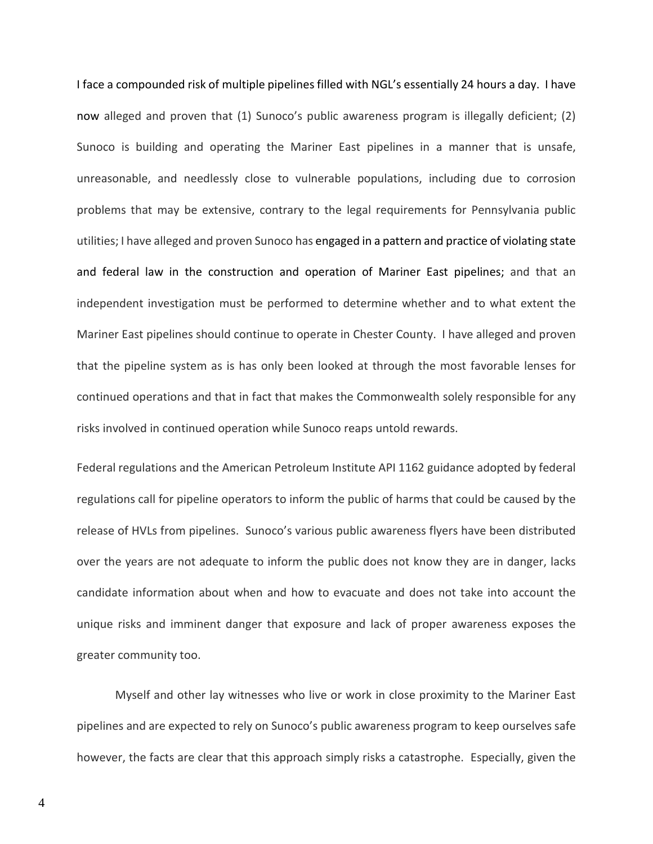I face a compounded risk of multiple pipelines filled with NGL's essentially 24 hours a day. I have now alleged and proven that (1) Sunoco's public awareness program is illegally deficient; (2) Sunoco is building and operating the Mariner East pipelines in a manner that is unsafe, unreasonable, and needlessly close to vulnerable populations, including due to corrosion problems that may be extensive, contrary to the legal requirements for Pennsylvania public utilities; I have alleged and proven Sunoco has engaged in a pattern and practice of violating state and federal law in the construction and operation of Mariner East pipelines; and that an independent investigation must be performed to determine whether and to what extent the Mariner East pipelines should continue to operate in Chester County. I have alleged and proven that the pipeline system as is has only been looked at through the most favorable lenses for continued operations and that in fact that makes the Commonwealth solely responsible for any risks involved in continued operation while Sunoco reaps untold rewards.

Federal regulations and the American Petroleum Institute API 1162 guidance adopted by federal regulations call for pipeline operators to inform the public of harms that could be caused by the release of HVLs from pipelines. Sunoco's various public awareness flyers have been distributed over the years are not adequate to inform the public does not know they are in danger, lacks candidate information about when and how to evacuate and does not take into account the unique risks and imminent danger that exposure and lack of proper awareness exposes the greater community too.

Myself and other lay witnesses who live or work in close proximity to the Mariner East pipelines and are expected to rely on Sunoco's public awareness program to keep ourselves safe however, the facts are clear that this approach simply risks a catastrophe. Especially, given the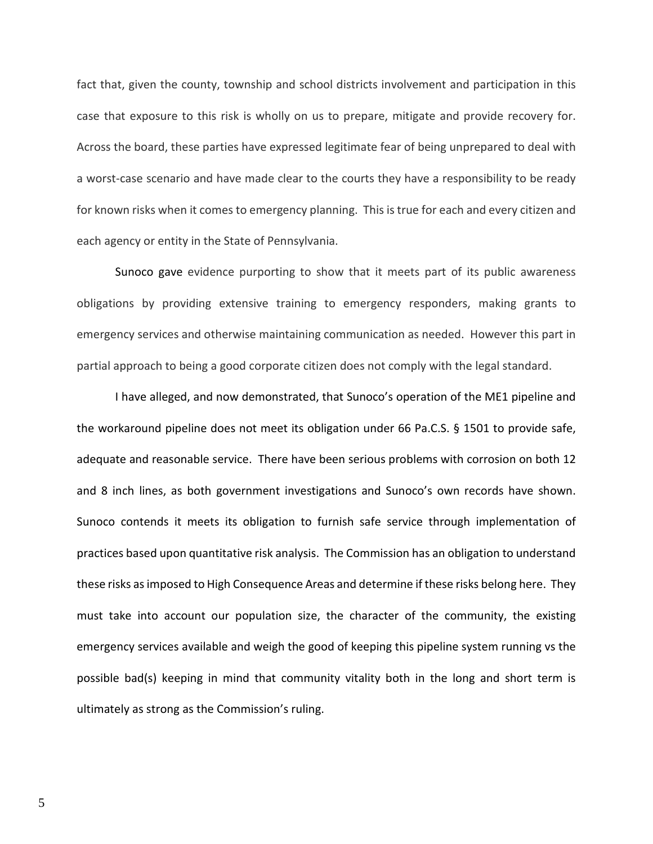fact that, given the county, township and school districts involvement and participation in this case that exposure to this risk is wholly on us to prepare, mitigate and provide recovery for. Across the board, these parties have expressed legitimate fear of being unprepared to deal with a worst-case scenario and have made clear to the courts they have a responsibility to be ready for known risks when it comes to emergency planning. This is true for each and every citizen and each agency or entity in the State of Pennsylvania.

Sunoco gave evidence purporting to show that it meets part of its public awareness obligations by providing extensive training to emergency responders, making grants to emergency services and otherwise maintaining communication as needed. However this part in partial approach to being a good corporate citizen does not comply with the legal standard.

I have alleged, and now demonstrated, that Sunoco's operation of the ME1 pipeline and the workaround pipeline does not meet its obligation under 66 Pa.C.S. § 1501 to provide safe, adequate and reasonable service. There have been serious problems with corrosion on both 12 and 8 inch lines, as both government investigations and Sunoco's own records have shown. Sunoco contends it meets its obligation to furnish safe service through implementation of practices based upon quantitative risk analysis. The Commission has an obligation to understand these risks as imposed to High Consequence Areas and determine if these risks belong here. They must take into account our population size, the character of the community, the existing emergency services available and weigh the good of keeping this pipeline system running vs the possible bad(s) keeping in mind that community vitality both in the long and short term is ultimately as strong as the Commission's ruling.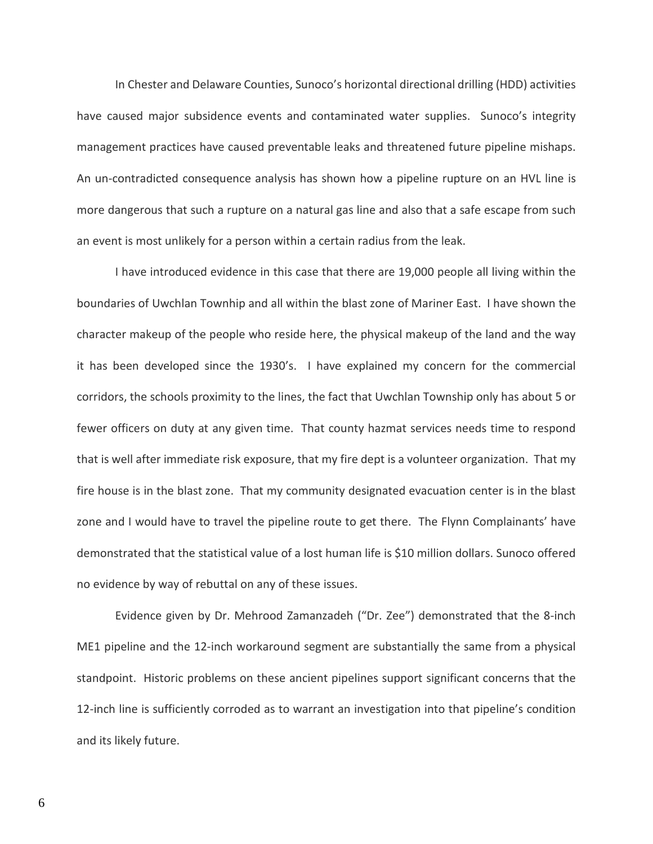In Chester and Delaware Counties, Sunoco's horizontal directional drilling (HDD) activities have caused major subsidence events and contaminated water supplies. Sunoco's integrity management practices have caused preventable leaks and threatened future pipeline mishaps. An un-contradicted consequence analysis has shown how a pipeline rupture on an HVL line is more dangerous that such a rupture on a natural gas line and also that a safe escape from such an event is most unlikely for a person within a certain radius from the leak.

I have introduced evidence in this case that there are 19,000 people all living within the boundaries of Uwchlan Townhip and all within the blast zone of Mariner East. I have shown the character makeup of the people who reside here, the physical makeup of the land and the way it has been developed since the 1930's. I have explained my concern for the commercial corridors, the schools proximity to the lines, the fact that Uwchlan Township only has about 5 or fewer officers on duty at any given time. That county hazmat services needs time to respond that is well after immediate risk exposure, that my fire dept is a volunteer organization. That my fire house is in the blast zone. That my community designated evacuation center is in the blast zone and I would have to travel the pipeline route to get there. The Flynn Complainants' have demonstrated that the statistical value of a lost human life is \$10 million dollars. Sunoco offered no evidence by way of rebuttal on any of these issues.

Evidence given by Dr. Mehrood Zamanzadeh ("Dr. Zee") demonstrated that the 8-inch ME1 pipeline and the 12-inch workaround segment are substantially the same from a physical standpoint. Historic problems on these ancient pipelines support significant concerns that the 12-inch line is sufficiently corroded as to warrant an investigation into that pipeline's condition and its likely future.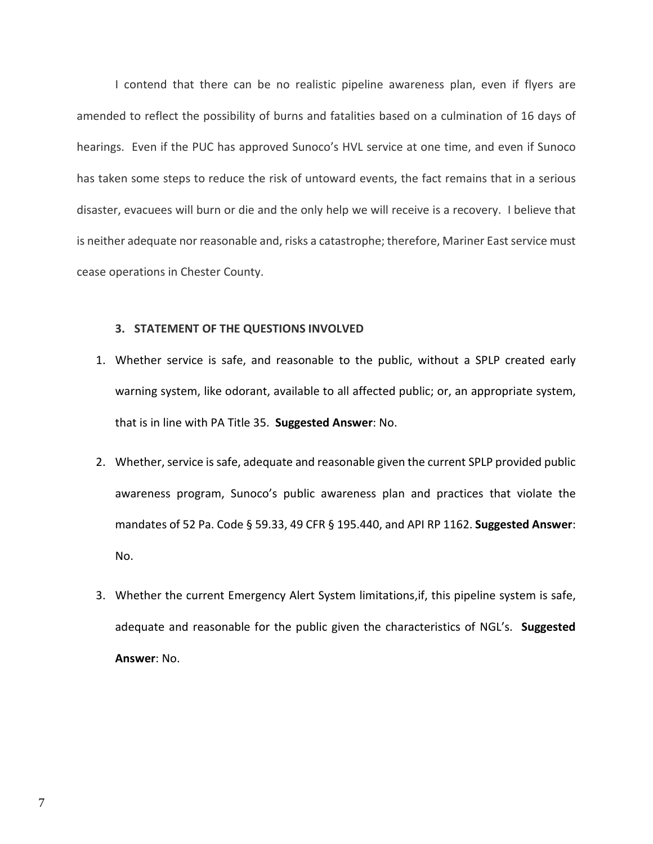I contend that there can be no realistic pipeline awareness plan, even if flyers are amended to reflect the possibility of burns and fatalities based on a culmination of 16 days of hearings. Even if the PUC has approved Sunoco's HVL service at one time, and even if Sunoco has taken some steps to reduce the risk of untoward events, the fact remains that in a serious disaster, evacuees will burn or die and the only help we will receive is a recovery. I believe that is neither adequate nor reasonable and, risks a catastrophe; therefore, Mariner East service must cease operations in Chester County.

## **3. STATEMENT OF THE QUESTIONS INVOLVED**

- 1. Whether service is safe, and reasonable to the public, without a SPLP created early warning system, like odorant, available to all affected public; or, an appropriate system, that is in line with PA Title 35. **Suggested Answer**: No.
- 2. Whether, service is safe, adequate and reasonable given the current SPLP provided public awareness program, Sunoco's public awareness plan and practices that violate the mandates of 52 Pa. Code § 59.33, 49 CFR § 195.440, and API RP 1162. **Suggested Answer**: No.
- 3. Whether the current Emergency Alert System limitations,if, this pipeline system is safe, adequate and reasonable for the public given the characteristics of NGL's. **Suggested Answer**: No.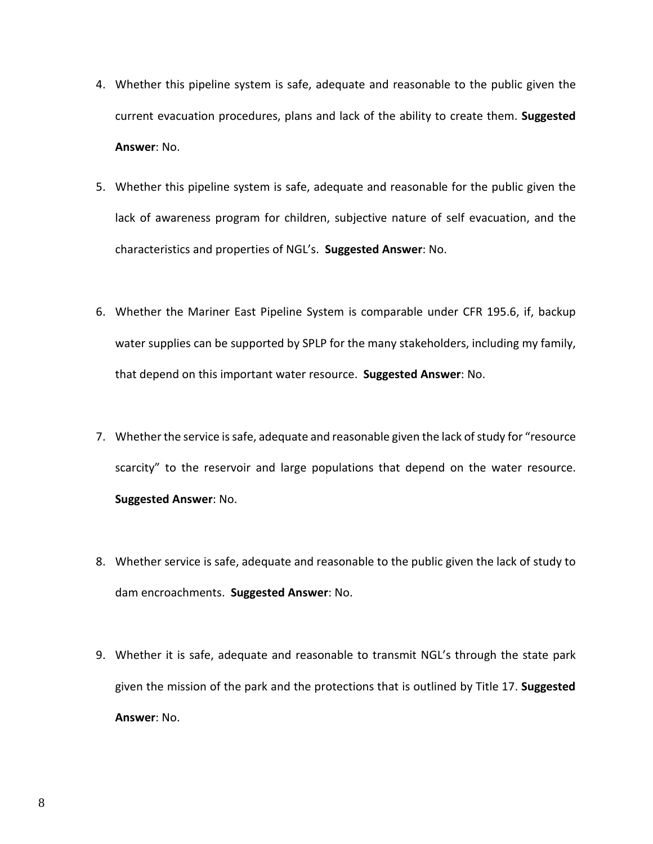- 4. Whether this pipeline system is safe, adequate and reasonable to the public given the current evacuation procedures, plans and lack of the ability to create them. **Suggested Answer**: No.
- 5. Whether this pipeline system is safe, adequate and reasonable for the public given the lack of awareness program for children, subjective nature of self evacuation, and the characteristics and properties of NGL's. **Suggested Answer**: No.
- 6. Whether the Mariner East Pipeline System is comparable under CFR 195.6, if, backup water supplies can be supported by SPLP for the many stakeholders, including my family, that depend on this important water resource. **Suggested Answer**: No.
- 7. Whether the service is safe, adequate and reasonable given the lack of study for "resource scarcity" to the reservoir and large populations that depend on the water resource. **Suggested Answer**: No.
- 8. Whether service is safe, adequate and reasonable to the public given the lack of study to dam encroachments. **Suggested Answer**: No.
- 9. Whether it is safe, adequate and reasonable to transmit NGL's through the state park given the mission of the park and the protections that is outlined by Title 17. **Suggested Answer**: No.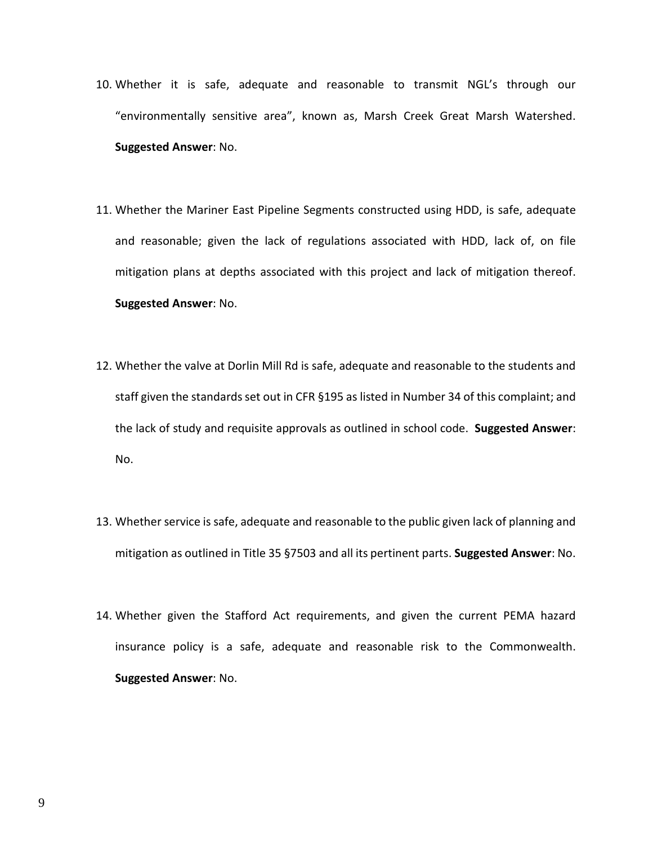- 10. Whether it is safe, adequate and reasonable to transmit NGL's through our "environmentally sensitive area", known as, Marsh Creek Great Marsh Watershed. **Suggested Answer**: No.
- 11. Whether the Mariner East Pipeline Segments constructed using HDD, is safe, adequate and reasonable; given the lack of regulations associated with HDD, lack of, on file mitigation plans at depths associated with this project and lack of mitigation thereof. **Suggested Answer**: No.
- 12. Whether the valve at Dorlin Mill Rd is safe, adequate and reasonable to the students and staff given the standards set out in CFR §195 as listed in Number 34 of this complaint; and the lack of study and requisite approvals as outlined in school code. **Suggested Answer**: No.
- 13. Whether service is safe, adequate and reasonable to the public given lack of planning and mitigation as outlined in Title 35 §7503 and all its pertinent parts. **Suggested Answer**: No.
- 14. Whether given the Stafford Act requirements, and given the current PEMA hazard insurance policy is a safe, adequate and reasonable risk to the Commonwealth. **Suggested Answer**: No.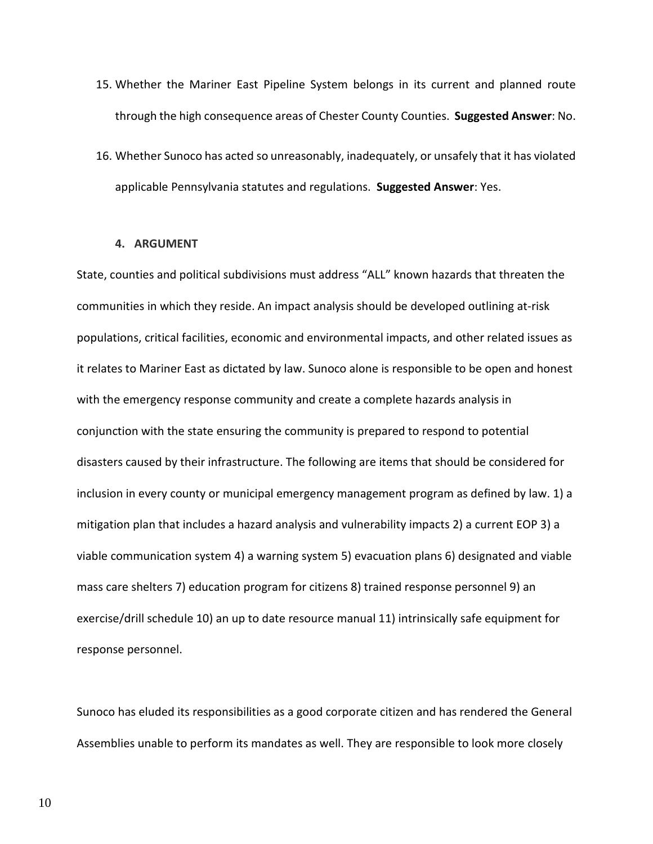- 15. Whether the Mariner East Pipeline System belongs in its current and planned route through the high consequence areas of Chester County Counties. **Suggested Answer**: No.
- 16. Whether Sunoco has acted so unreasonably, inadequately, or unsafely that it has violated applicable Pennsylvania statutes and regulations. **Suggested Answer**: Yes.

## **4. ARGUMENT**

State, counties and political subdivisions must address "ALL" known hazards that threaten the communities in which they reside. An impact analysis should be developed outlining at-risk populations, critical facilities, economic and environmental impacts, and other related issues as it relates to Mariner East as dictated by law. Sunoco alone is responsible to be open and honest with the emergency response community and create a complete hazards analysis in conjunction with the state ensuring the community is prepared to respond to potential disasters caused by their infrastructure. The following are items that should be considered for inclusion in every county or municipal emergency management program as defined by law. 1) a mitigation plan that includes a hazard analysis and vulnerability impacts 2) a current EOP 3) a viable communication system 4) a warning system 5) evacuation plans 6) designated and viable mass care shelters 7) education program for citizens 8) trained response personnel 9) an exercise/drill schedule 10) an up to date resource manual 11) intrinsically safe equipment for response personnel.

Sunoco has eluded its responsibilities as a good corporate citizen and has rendered the General Assemblies unable to perform its mandates as well. They are responsible to look more closely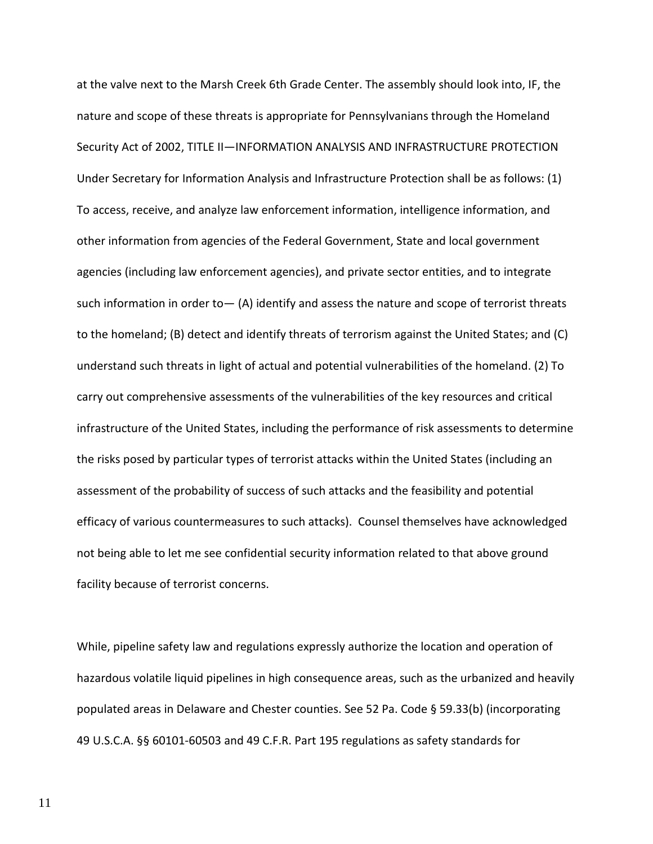at the valve next to the Marsh Creek 6th Grade Center. The assembly should look into, IF, the nature and scope of these threats is appropriate for Pennsylvanians through the Homeland Security Act of 2002, TITLE II—INFORMATION ANALYSIS AND INFRASTRUCTURE PROTECTION Under Secretary for Information Analysis and Infrastructure Protection shall be as follows: (1) To access, receive, and analyze law enforcement information, intelligence information, and other information from agencies of the Federal Government, State and local government agencies (including law enforcement agencies), and private sector entities, and to integrate such information in order to  $-$  (A) identify and assess the nature and scope of terrorist threats to the homeland; (B) detect and identify threats of terrorism against the United States; and (C) understand such threats in light of actual and potential vulnerabilities of the homeland. (2) To carry out comprehensive assessments of the vulnerabilities of the key resources and critical infrastructure of the United States, including the performance of risk assessments to determine the risks posed by particular types of terrorist attacks within the United States (including an assessment of the probability of success of such attacks and the feasibility and potential efficacy of various countermeasures to such attacks). Counsel themselves have acknowledged not being able to let me see confidential security information related to that above ground facility because of terrorist concerns.

While, pipeline safety law and regulations expressly authorize the location and operation of hazardous volatile liquid pipelines in high consequence areas, such as the urbanized and heavily populated areas in Delaware and Chester counties. See 52 Pa. Code § 59.33(b) (incorporating 49 U.S.C.A. §§ 60101-60503 and 49 C.F.R. Part 195 regulations as safety standards for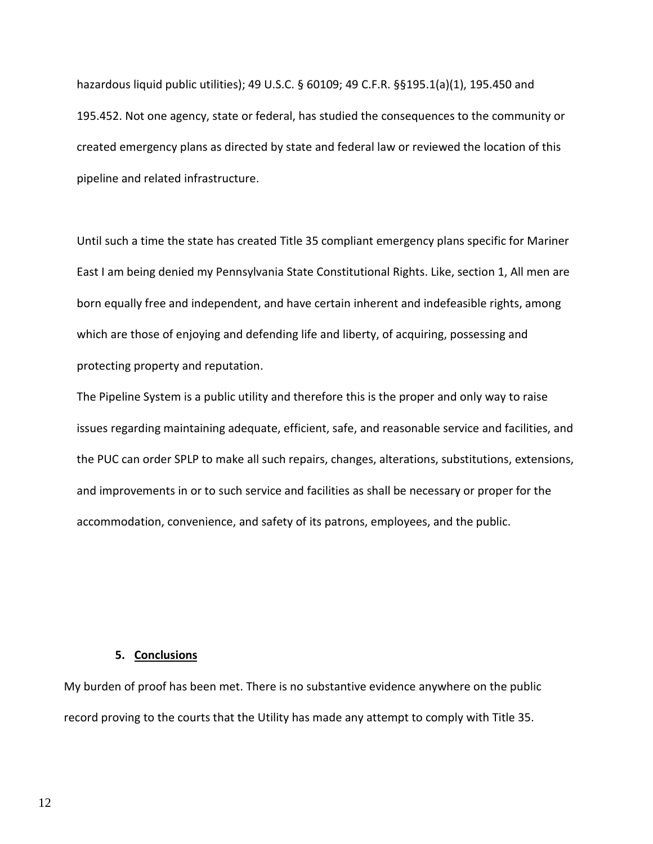hazardous liquid public utilities); 49 U.S.C. § 60109; 49 C.F.R. §§195.1(a)(1), 195.450 and 195.452. Not one agency, state or federal, has studied the consequences to the community or created emergency plans as directed by state and federal law or reviewed the location of this pipeline and related infrastructure.

Until such a time the state has created Title 35 compliant emergency plans specific for Mariner East I am being denied my Pennsylvania State Constitutional Rights. Like, section 1, All men are born equally free and independent, and have certain inherent and indefeasible rights, among which are those of enjoying and defending life and liberty, of acquiring, possessing and protecting property and reputation.

The Pipeline System is a public utility and therefore this is the proper and only way to raise issues regarding maintaining adequate, efficient, safe, and reasonable service and facilities, and the PUC can order SPLP to make all such repairs, changes, alterations, substitutions, extensions, and improvements in or to such service and facilities as shall be necessary or proper for the accommodation, convenience, and safety of its patrons, employees, and the public.

## **5. Conclusions**

My burden of proof has been met. There is no substantive evidence anywhere on the public record proving to the courts that the Utility has made any attempt to comply with Title 35.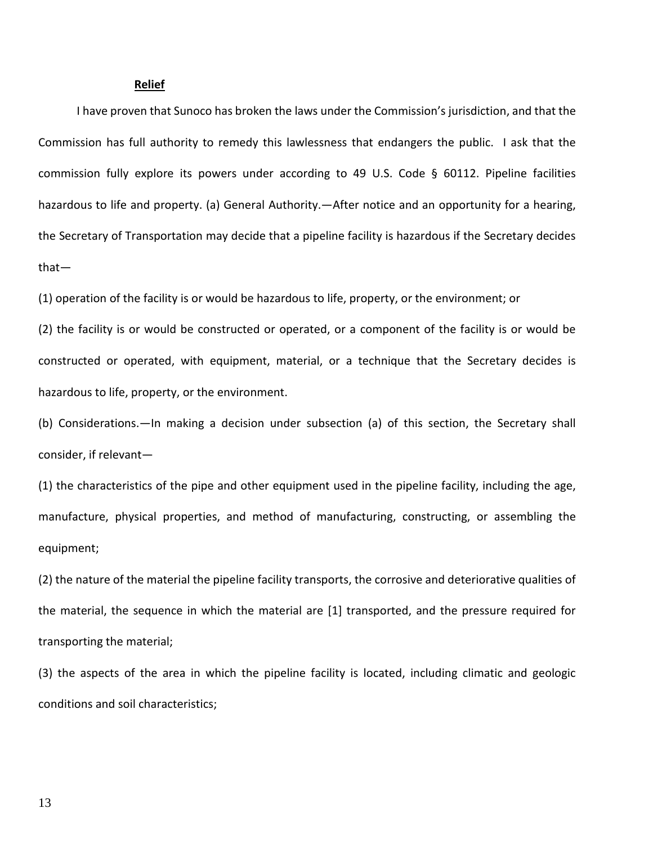#### **Relief**

I have proven that Sunoco has broken the laws under the Commission's jurisdiction, and that the Commission has full authority to remedy this lawlessness that endangers the public. I ask that the commission fully explore its powers under according to 49 U.S. Code § 60112. Pipeline facilities hazardous to life and property. (a) General Authority. - After notice and an opportunity for a hearing, the Secretary of Transportation may decide that a pipeline facility is hazardous if the Secretary decides that—

(1) operation of the facility is or would be hazardous to life, property, or the environment; or

(2) the facility is or would be constructed or operated, or a component of the facility is or would be constructed or operated, with equipment, material, or a technique that the Secretary decides is hazardous to life, property, or the environment.

(b) Considerations.—In making a decision under subsection (a) of this section, the Secretary shall consider, if relevant—

(1) the characteristics of the pipe and other equipment used in the pipeline facility, including the age, manufacture, physical properties, and method of manufacturing, constructing, or assembling the equipment;

(2) the nature of the material the pipeline facility transports, the corrosive and deteriorative qualities of the material, the sequence in which the material are [1] transported, and the pressure required for transporting the material;

(3) the aspects of the area in which the pipeline facility is located, including climatic and geologic conditions and soil characteristics;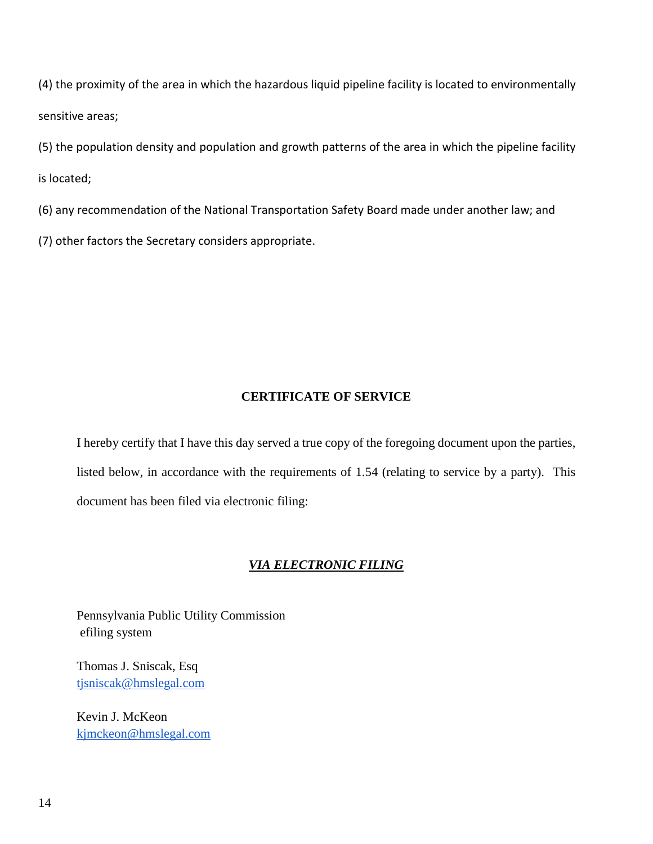(4) the proximity of the area in which the hazardous liquid pipeline facility is located to environmentally sensitive areas;

(5) the population density and population and growth patterns of the area in which the pipeline facility is located;

(6) any recommendation of the National Transportation Safety Board made under another law; and

(7) other factors the Secretary considers appropriate.

# **CERTIFICATE OF SERVICE**

I hereby certify that I have this day served a true copy of the foregoing document upon the parties, listed below, in accordance with the requirements of 1.54 (relating to service by a party). This document has been filed via electronic filing:

# *VIA ELECTRONIC FILING*

Pennsylvania Public Utility Commission efiling system

Thomas J. Sniscak, Esq [tjsniscak@hmslegal.com](mailto:tjsniscak@hmslegal.com)

Kevin J. McKeon [kjmckeon@hmslegal.com](mailto:kjmckeon@hmslegal.com)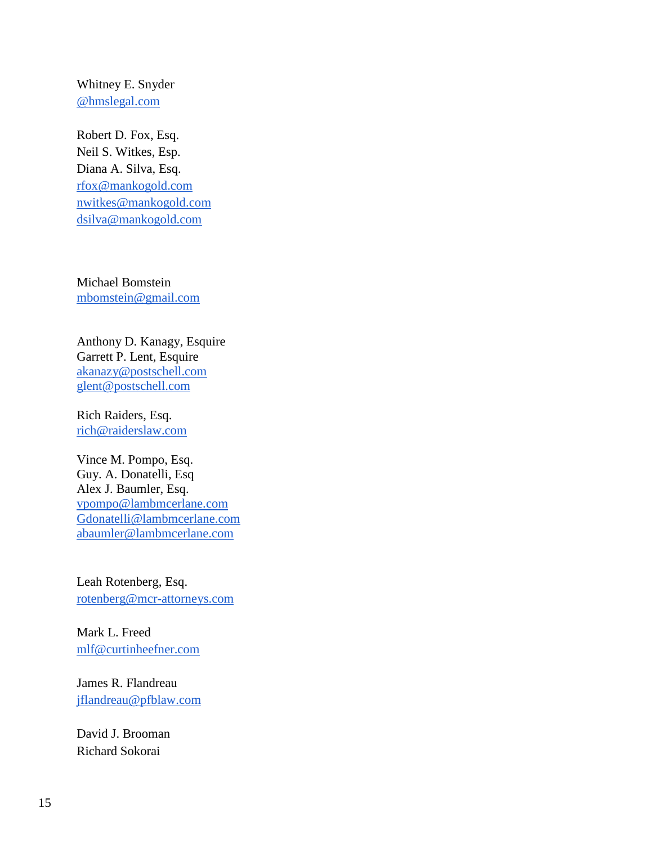Whitney E. Snyder [@hmslegal.com](mailto:wesnyder@hmslegal.com)

Robert D. Fox, Esq. Neil S. Witkes, Esp. Diana A. Silva, Esq. [rfox@mankogold.com](mailto:rfox@mankogold.com) [nwitkes@mankogold.com](mailto:nwitkes@mankogold.com) [dsilva@mankogold.com](mailto:dsilva@mankogold.com)

Michael Bomstein [mbomstein@gmail.com](mailto:mbomstein@gmail.com)

Anthony D. Kanagy, Esquire Garrett P. Lent, Esquire [akanazy@postschell.com](mailto:akanazy@postschell.com) [glent@postschell.com](mailto:glent@postschell.com)

Rich Raiders, Esq. [rich@raiderslaw.com](mailto:rich@raiderslaw.com)

Vince M. Pompo, Esq. Guy. A. Donatelli, Esq Alex J. Baumler, Esq. [vpompo@lambmcerlane.com](mailto:vpompo@lambmcerlane.com) [Gdonatelli@lambmcerlane.com](mailto:Gdonatelli@lambmcerlane.com) [abaumler@lambmcerlane.com](mailto:abaumler@lambmcerlane.com)

Leah Rotenberg, Esq. [rotenberg@mcr-attorneys.com](mailto:rotenberg@mcr-attorneys.com)

Mark L. Freed [mlf@curtinheefner.com](mailto:mlf@curtinheefner.com)

James R. Flandreau [jflandreau@pfblaw.com](mailto:jflandreau@pfblaw.com)

David J. Brooman Richard Sokorai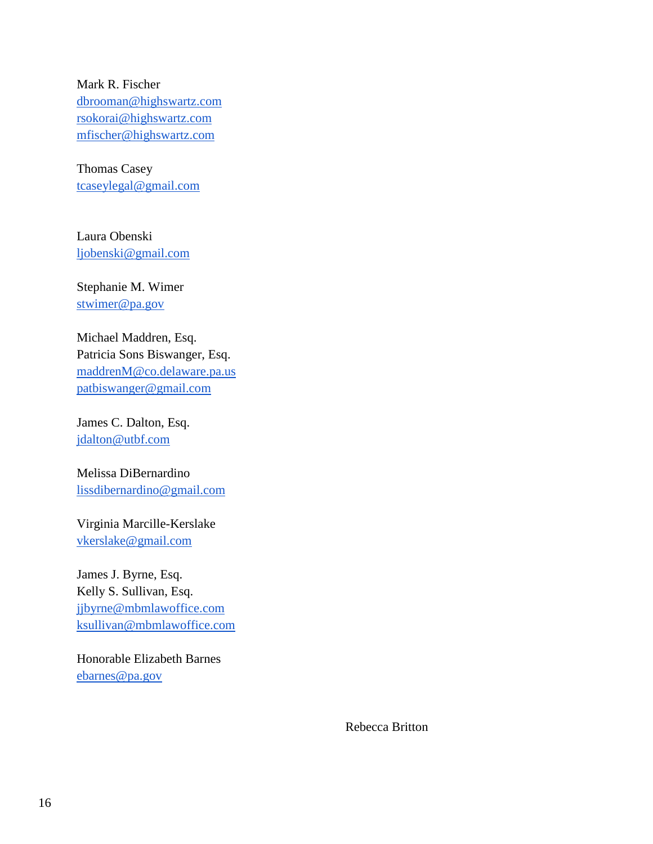Mark R. Fischer [dbrooman@highswartz.com](mailto:dbrooman@highswartz.com) [rsokorai@highswartz.com](mailto:rsokorai@highswartz.com) [mfischer@highswartz.com](mailto:mfischer@highswartz.com)

Thomas Casey [tcaseylegal@gmail.com](mailto:tcaseylegal@gmail.com)

Laura Obenski [ljobenski@gmail.com](mailto:ljobenski@gmail.com)

Stephanie M. Wimer [stwimer@pa.gov](mailto:stwimer@pa.gov)

Michael Maddren, Esq. Patricia Sons Biswanger, Esq. [maddrenM@co.delaware.pa.us](mailto:maddrenM@co.delaware.pa.us) [patbiswanger@gmail.com](mailto:patbiswanger@gmail.com)

James C. Dalton, Esq. [jdalton@utbf.com](mailto:jdalton@utbf.com)

Melissa DiBernardino [lissdibernardino@gmail.com](mailto:lissdibernardino@gmail.com)

Virginia Marcille-Kerslake [vkerslake@gmail.com](mailto:vkerslake@gmail.com)

James J. Byrne, Esq. Kelly S. Sullivan, Esq. [jjbyrne@mbmlawoffice.com](mailto:jjbyrne@mbmlawoffice.com) [ksullivan@mbmlawoffice.com](mailto:ksullivan@mbmlawoffice.com)

Honorable Elizabeth Barnes [ebarnes@pa.gov](mailto:ebarnes@pa.gov)

Rebecca Britton